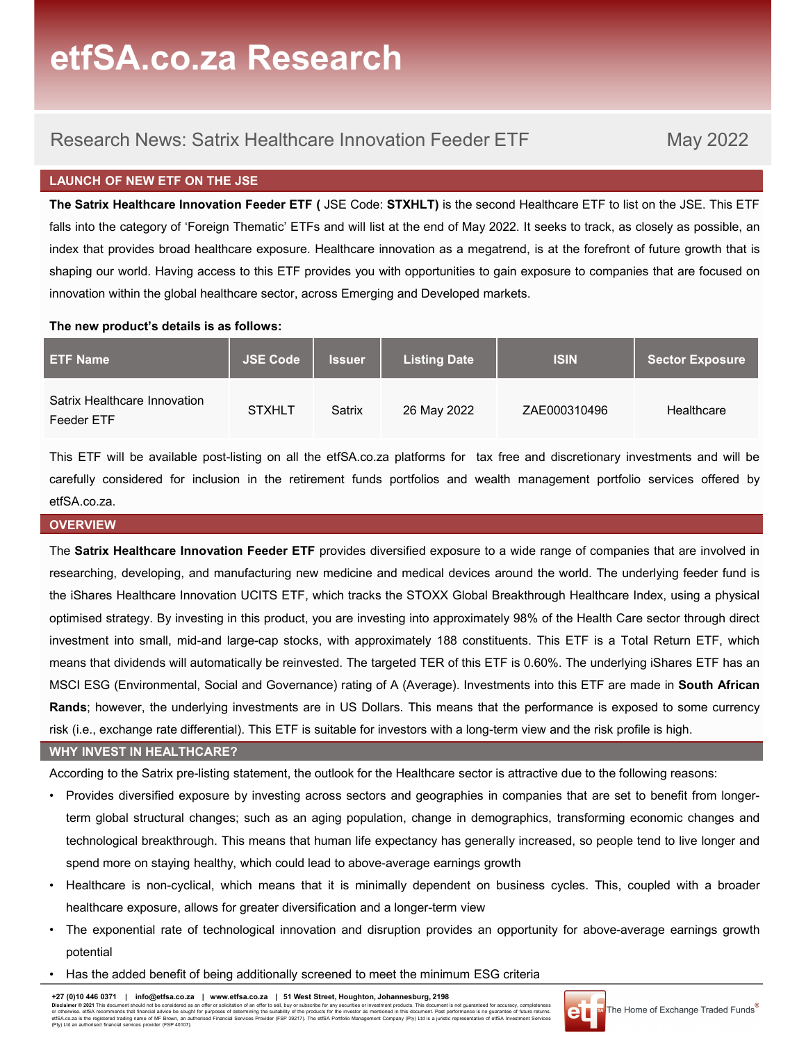## Research News: Satrix Healthcare Innovation Feeder ETF May 2022

## LAUNCH OF NEW ETF ON THE JSE

**CO.ZA RESEATCH**<br>
Research News: Satrix Healthcare Innovation Feeder ETF May 2022<br>
May 2022<br>
The Satrix Healthcare Innovation Feeder ETF ( JSE Code: STXHLT) is the second Healthcare ETF to list on the JSE. This ETF<br>
falls ettisch.co.za Research News: Satrix Healthcare Innovation Feeder ETF May 2022<br>FALMICH OF NEW ETF ON THE JSE<br>The Satrix Healthcare Innovation Feeder ETF (JSE Code: STXHLT) is the second Healthcare ETF to list on the JSE. Th **index that provides broad healthcare innovation** Feeder ETF May 2022<br> **EXECUTE:** May 2022<br> **EXECUTE:** The Satrix Healthcare innovation Feeder ETF (JSE Code: STXHLT) is the second Healthcare ETF to list on the JSE. This ET **Shaping our world. Having access to this ETF** provides you with opportunities to gain exposure to companies that are focused on the USE. This ETF provides you of "Foreign Thematic" ETFs and will list at the end of May 202 **Example 15 A.CO.Za Research Innovation Feeder ETF** May 2022<br>
IN Research News: Satrix Healthcare Innovation Feeder ETF May 2022<br>
The Satrix Healthcare Innovation Feeder ETF (JSE Code: STXHLT) is the second Healthcare ETF **EXECUTE:**<br>
Research News: Satrix Healthcare Innovation Feeder ETF<br>
LAUNCH OF NEW ETF ON THE JSE<br>
The Satrix Healthcare Innovation Feeder ETF (JSE Code: STXHLT) is the second Healthcare ETF to list on the<br>
falls into the c Research News: Satrix Healthcare Innovation Feeder ETF May 2022<br>
The Satrix Healthcare Innovation Feeder ETF (JSE Code: STXHLT) is the second Healthcare ETF to list on the JSE. This ETF<br>
The Satrix Healthcare Innovation Fe Research News: Satrix Healthcare Innovation Feeder ETF (istered for inclusion Feeder FIT (istered for inclusion Feeder FIT (istered for inclusion inclusion in the retirement of the retirement funds in the retirement inflat **EXERCISA CO. ZA RESEATCH**<br>
Research News: Satrix Healthcare Innovation Feeder ETF May 2022<br>
LAUNCH OF NEW ETF ON THE JSE<br>
The Satrix Healthcare Innovation Feeder ETF (JSE Code: STXHLT) is the second Healthcare ETF to list Research News: Satrix Healthcare Innovation Feeder ETF May 2022<br> **LAUNCH OF NEW EIT ON THE JSE**<br>
The Satrix Healthcare Innovation Feeder ETF (JSE Code: STXHLT) is the second Healthcare ETF to list on the JSE. This ETF<br>
fal The Satrix Healthcare Innovation<br>
The Satrix Health care is the ETF provides by the USI at the end of May 2022. It seeks to track, as closely as possible, an<br>
Index that provides broad healthcare exposure. Healthcare innov

| <b>ETF Name</b>                            | <b>JSE Code</b> | <b>Issuer</b> | <b>Listing Date</b> | <b>ISIN</b>  | <b>Sector Exposure</b> |
|--------------------------------------------|-----------------|---------------|---------------------|--------------|------------------------|
| Satrix Healthcare Innovation<br>Feeder ETF | <b>STXHLT</b>   | Satrix        | 26 May 2022         | ZAE000310496 | Healthcare             |

etfSA.co.za.

## **OVERVIEW**

means that dividends will automatically be reinvested. The targeted TER of this ETF is 0.60%. The underlying iShares ETF has an<br>MSCI ESG (Environmental, Social and Governance) rating of A (Average). Investments into this E researching, developing, and manufacturing new medicine and with and an expectation of the technol of the growth that is<br>the provides broad healthcare exposure. Healthcare innovation as a megatred, is at the forefort of fu The stark Healthcare Innovation Feeder ETF provides you with opportunities to gain exposure to companies that are focused on<br>Innovation within the global healthcare sector, across Emerging and Developed markets.<br>
The new p on increase which. The new product's details is as follows:<br>
Incrementation increments and Developed markets.<br>
The new product's details is as follows:<br>
SET F Name<br>
Sector Exposure<br>
Sector Exposure<br>
ETF Name<br>
Sector Exposu inhousial with the Shares into small, mid-and large-cap stocks, with approximately 188 constitutents into this ETF is a Total Return ETF, which schemes the small of the small of the small of the small of the small of the s The new product's details is as follows:<br>
Satrix Healthcare Innovation<br>
Satrix Healthcare Innovation<br>
Satrix Healthcare Innovation<br>
This ETF will be available post-listing on all the etiSA co.za platforms for tax free and ETF Name Satrix Healthcare Innovation<br>
Satrix Healthcare Innovation<br>
Satrix Healthcare Innovation<br>
This ETF will be evaliable post-listing on all the etiSA co.za platforms for tax free and discretionary investments and wil Satrix Healthcare Innovation<br>
Rester ETF<br>
This ETF will be available post-listing on all the etiSA co.za platforms for tax free and discretionary investments and will be<br>
rarefully considered for inclusion in the retiremen Satrix Healthcare Innovation STXHLT Satrix 26 May 2022 ZAE000310496 Healthcare<br>This ETF will be available post-listing on all the ettSA co.za platforms for tax free and discretionary investments and will be<br>carefully consi This ETF will be available post-listing on all the etfSA.co.za platforms for tax free and discretionary investments and will be carefully considered for inclusion in the retirement funds portfolios and wealth management po This ETF will be available post-listing on all the etfSA-co.za platforms for tax free and discretionary investments and will be<br>careflolly considered for inclusion in the retirement funds portfolios and wealth management p of the controlling considered for inclusion in the retirement funds portfolios and wealth management portfolio services offered by<br>
Stark: VERVENT STATE STATE THANGE STATE provides diversified exposure to a wide range of c SA co.72<br>
ERVIENT CONSIDE SATE TO THE PROVIDES diversified exposure to a wide range of companies that are involved in<br>
eacrthing, developing, and manufacturing new medicine and medical devices around the world. The underly ERVIEW<br>Sativity Healthcare Innovation Feeder ETF provides diversified exposure to a wide range of companies that are involved in<br>Sativity Healthcare Innovation DCITS ETF, which tracks the STOXX Global Breakthrough Healthca The Satrix Healthcare Innovation Feeder ETF provides diversified exposure to a wide range of companies that are involved in<br>the iShares Healthcare Innovation (INTS ETF, which fracks the STOXX Global Breaklthrough Healthcar earching, developing, and manufacturing new medicine and medical devices around the world. The underlying feeder fund is<br>
iShares Healthcare Innovation UCITS ETF, which tracks the STOXX Global Breatkhrough Healthcare Index the iShares Healthcare Innovation UCITS ETF, which tracks the STOXX Global Breakthrough Healthcare Index, using a physical<br>primised strategy. By investing in this product, our are investing into approximately 98% of the He investment into small, mid-and large-cap stocks, with approximately 188 constituents. This ETF is a Total Return ETF, which<br>means that dividends will automatically be reinvested. The largeted TER of the ETF is 0.60%. The u

## WHY INVEST IN HEALTHCARE?

- MSCI ESG (Environmental, Social and Governance) rating of A (Average). Investments into this ETF<br> **Rands:** however, the underlying investments are in US Dollars. This means that the performance is<br>
Sisk (i.e., exchange rat
- 
- potential
- 

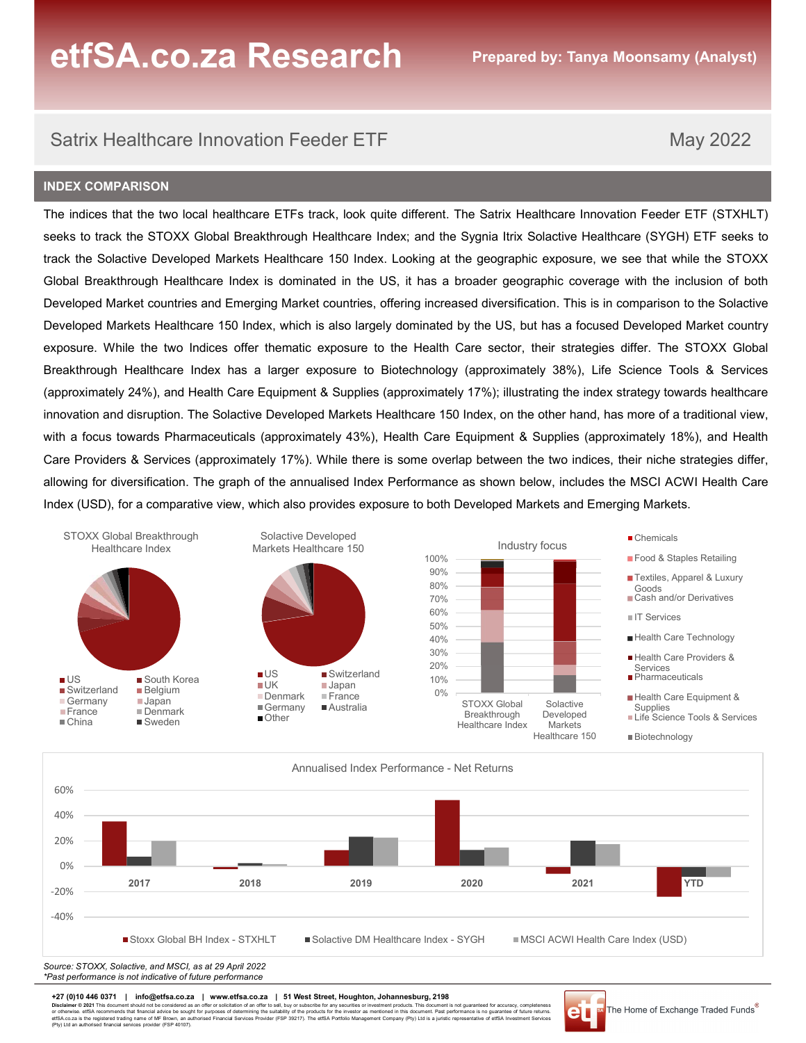### INDEX COMPARISON

etfSA.co.za Research<br>Satrix Healthcare Innovation Feeder ETF May 2022<br>No ex comparison<br>Ne indices that the two local healthcare ETFs track, look quite different. The Satrix Healthcare Innovation Feeder ETF (STXHLT) **ETTE SA.CO.ZA Research** Prepared by: Tanya Moonsamy (Analyst)<br>
Satrix Healthcare Innovation Feeder ETF May 2022<br>
INDEX COMPARISON<br>
The indices that the two local healthcare ETFs track, look quite different. The Satrix Hea **Section 20 KESCATCH** Prepared by: Tanya Moonsamy (Analyst)<br>
Satrix Healthcare Innovation Feeder ETF May 2022<br>
INDEX COMPARISON<br>
The indices that the two local healthcare ETFs track, look quite different. The Satrix Health **CO.ZA RESEATCH** Prepared by: Tanya Moonsamy (Analyst)<br>
Satrix Healthcare Innovation Feeder ETF May 2022<br>
INDEX COMPARISON<br>
The indices that the two local healthcare ETFs track, look quite different. The Satrix Healthcare **Global Breakthrough Healthcare Index is dominated in the US, the US, it has a broader geographic exposure. We solet in the two local healthcare ETFs track, look quite different. The Satrix Healthcare Innovation Feeder ETF CHTSA.CO.ZA Research Propared by: Tanya Moonsamy (Analyst)**<br>
Satrix Healthcare Innovation Feeder ETF Market May 2022<br>
INDEX COMPARISON<br>
The indices that the two local healthcare ETFs track, look quite different. The Satri **CETSA.CO.ZA Research CET**<br>
Developed Markets Healthcare Innovation Feeder ETF<br>
May 2022<br>
INDEX COMPARISON<br>
The indices that the two local healthcare ETFs track, look quite different. The Satrix Healthcare Innovation Feede **exposure. While the two Indiversions of the two Indiversions of the two Indiversions of the two Indiversions of the two Indiversions of The indices that the two Indiverse ETF strack, look quite different. The Satrix Healt EffSA.CO.ZA Research Propared by:** Tanya Moonsamy (Analyst)<br>
Satrix Healthcare Innovation Feeder ETF<br>
May 2022<br>
INDEX COMPARISON<br>
The indices that the two local healthcare ETFs track, look quite different. The Satrix Heal **ETISA.CO.ZA RESEATCH** Propared by: Tanya Moonsamy (Analyst)<br>
Satrix Healthcare Innovation Feeder ETF<br>
May 2022<br>
INDEX comparison<br>
The indices that the two local healthcare ETFs track, look quite different. The Systait tri Satrix Healthcare Innovation Feeder ETF<br>
May 2022<br>
INDEX COMPARISON<br>
The indices that the two local healthcare ETFs track, look quite different. The Satix Healthcare Innovation Feeder ETF (STXHLT)<br>
seeks to track the STOXX Satrix Healthcare Innovation Feeder ETF<br>
May 2022<br>
INDEX COMPARISON<br>
The Indices that the two local healthcare ETFs track, look quite different. The Satrix Healthcare Innovation Feeder ETF (STXHLT)<br>
The Indices that the ST Satrix Healthcare Innovation Feeder ETF<br>
May 2022<br>
INDEX COMPARISON<br>
The indices that the two local healthcare ETFs track, look quite different. The Satrix Healthcare Innovation Feeder ETF (STXHLT)<br>
Steeks to track the SON Saltrix Healthcare Innovation Feeder ETF<br>
INDEX COMPARISON<br>
The indices that the two local healthcare ETFs track, look quite different. The Satrix Healthcare Innovation Feeder ETF (STXHLT)<br>
seeks to track the STOXX Global INDEX COMPARISON<br>
The indices that the two local healthcare ETFs track, look quite different. The Satrix Healthcare Innovation Feeder ETF (STXHLT)<br>
seeks to track the STOXX Global Breakthrough Healthcare 150 Index. Looking FIFS track, look quite different. The Satrix Healthcare Innovation Feeder ETF (ST)<br>
Substitution Healthcare Index; and the Sygnia Itrix Solactive Healthcare (SYGH) ETF seterulation enters in the US, it has a broader geogra





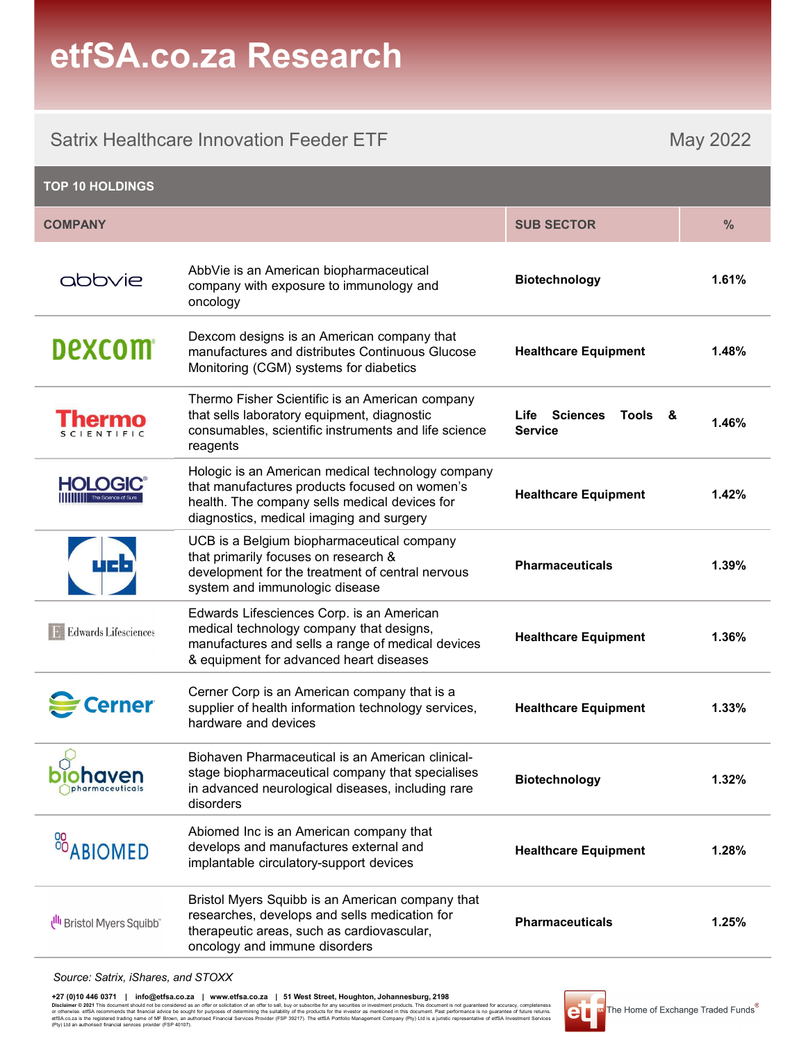## etfSA.co.za Research

|                                        | etfSA.co.za Research                                                                                                                                                                            |                                         |          |
|----------------------------------------|-------------------------------------------------------------------------------------------------------------------------------------------------------------------------------------------------|-----------------------------------------|----------|
|                                        | <b>Satrix Healthcare Innovation Feeder ETF</b>                                                                                                                                                  |                                         | May 2022 |
| <b>TOP 10 HOLDINGS</b>                 |                                                                                                                                                                                                 |                                         |          |
| <b>COMPANY</b>                         |                                                                                                                                                                                                 | <b>SUB SECTOR</b>                       | $\%$     |
| abbyje                                 | AbbVie is an American biopharmaceutical<br>company with exposure to immunology and<br>oncology                                                                                                  | <b>Biotechnology</b>                    | 1.61%    |
| <b>Dexcom</b>                          | Dexcom designs is an American company that<br>manufactures and distributes Continuous Glucose<br>Monitoring (CGM) systems for diabetics                                                         | <b>Healthcare Equipment</b>             | 1.48%    |
| <b>Thermo</b><br><b>SCIENTIFIC</b>     | Thermo Fisher Scientific is an American company<br>that sells laboratory equipment, diagnostic<br>consumables, scientific instruments and life science<br>reagents                              | Life Sciences Tools &<br><b>Service</b> | 1.46%    |
| <b>HOLOGIC®</b><br>The Science of Sure | Hologic is an American medical technology company<br>that manufactures products focused on women's<br>health. The company sells medical devices for<br>diagnostics, medical imaging and surgery | <b>Healthcare Equipment</b>             | 1.42%    |
|                                        | UCB is a Belgium biopharmaceutical company<br>that primarily focuses on research &<br>development for the treatment of central nervous<br>system and immunologic disease                        | <b>Pharmaceuticals</b>                  | 1.39%    |
| <b>Edwards Lifesciences</b>            | Edwards Lifesciences Corp. is an American<br>medical technology company that designs,<br>manufactures and sells a range of medical devices<br>& equipment for advanced heart diseases           | <b>Healthcare Equipment</b>             | 1.36%    |
| Cerner                                 | Cerner Corp is an American company that is a<br>supplier of health information technology services,<br>hardware and devices                                                                     | <b>Healthcare Equipment</b>             | 1.33%    |
| onaven<br><i>pharmaceuticals</i>       | Biohaven Pharmaceutical is an American clinical-<br>stage biopharmaceutical company that specialises<br>in advanced neurological diseases, including rare<br>disorders                          | <b>Biotechnology</b>                    | 1.32%    |
| <sup>88</sup> ABIOMED                  | Abiomed Inc is an American company that<br>develops and manufactures external and<br>implantable circulatory-support devices                                                                    | <b>Healthcare Equipment</b>             | 1.28%    |
| Bristol Myers Squibb                   | Bristol Myers Squibb is an American company that<br>researches, develops and sells medication for<br>therapeutic areas, such as cardiovascular,<br>oncology and immune disorders                | <b>Pharmaceuticals</b>                  | 1.25%    |
| Source: Satrix, iShares, and STOXX     |                                                                                                                                                                                                 |                                         |          |